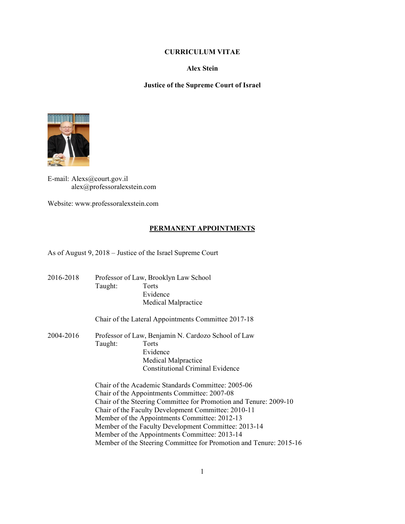### **CURRICULUM VITAE**

#### **Alex Stein**

## **Justice of the Supreme Court of Israel**



E-mail: Alexs@court.gov.il alex@professoralexstein.com

Website: www.professoralexstein.com

### **PERMANENT APPOINTMENTS**

As of August 9, 2018 – Justice of the Israel Supreme Court

2016-2018 Professor of Law, Brooklyn Law School Taught: Torts Evidence Medical Malpractice Chair of the Lateral Appointments Committee 2017-18 2004-2016 Professor of Law, Benjamin N. Cardozo School of Law Taught: Torts Evidence Medical Malpractice Constitutional Criminal Evidence Chair of the Academic Standards Committee: 2005-06 Chair of the Appointments Committee: 2007-08 Chair of the Steering Committee for Promotion and Tenure: 2009-10 Chair of the Faculty Development Committee: 2010-11 Member of the Appointments Committee: 2012-13 Member of the Faculty Development Committee: 2013-14 Member of the Appointments Committee: 2013-14 Member of the Steering Committee for Promotion and Tenure: 2015-16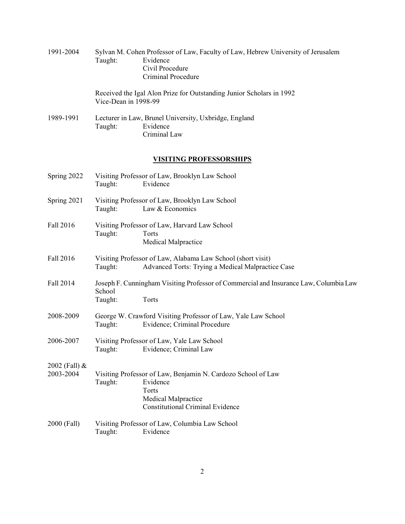| 1991-2004                    | Taught:              | Sylvan M. Cohen Professor of Law, Faculty of Law, Hebrew University of Jerusalem<br>Evidence<br>Civil Procedure<br>Criminal Procedure                      |
|------------------------------|----------------------|------------------------------------------------------------------------------------------------------------------------------------------------------------|
|                              | Vice-Dean in 1998-99 | Received the Igal Alon Prize for Outstanding Junior Scholars in 1992                                                                                       |
| 1989-1991                    | Taught:              | Lecturer in Law, Brunel University, Uxbridge, England<br>Evidence<br>Criminal Law                                                                          |
|                              |                      | <u>VISITING PROFESSORSHIPS</u>                                                                                                                             |
| Spring 2022                  | Taught:              | Visiting Professor of Law, Brooklyn Law School<br>Evidence                                                                                                 |
| Spring 2021                  | Taught:              | Visiting Professor of Law, Brooklyn Law School<br>Law & Economics                                                                                          |
| Fall 2016                    | Taught:              | Visiting Professor of Law, Harvard Law School<br>Torts<br>Medical Malpractice                                                                              |
| Fall 2016                    | Taught:              | Visiting Professor of Law, Alabama Law School (short visit)<br>Advanced Torts: Trying a Medical Malpractice Case                                           |
| Fall 2014                    | School<br>Taught:    | Joseph F. Cunningham Visiting Professor of Commercial and Insurance Law, Columbia Law<br>Torts                                                             |
| 2008-2009                    | Taught:              | George W. Crawford Visiting Professor of Law, Yale Law School<br>Evidence; Criminal Procedure                                                              |
| 2006-2007                    | Taught:              | Visiting Professor of Law, Yale Law School<br>Evidence; Criminal Law                                                                                       |
| 2002 (Fall) $&$<br>2003-2004 | Taught:              | Visiting Professor of Law, Benjamin N. Cardozo School of Law<br>Evidence<br>Torts<br><b>Medical Malpractice</b><br><b>Constitutional Criminal Evidence</b> |
| 2000 (Fall)                  | Taught:              | Visiting Professor of Law, Columbia Law School<br>Evidence                                                                                                 |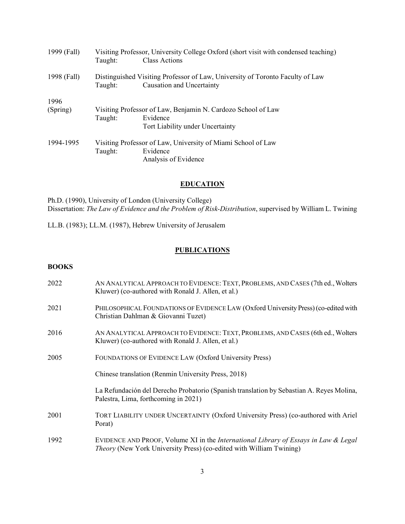| 1999 (Fall) | Taught:                                                      | Visiting Professor, University College Oxford (short visit with condensed teaching)<br><b>Class Actions</b> |  |
|-------------|--------------------------------------------------------------|-------------------------------------------------------------------------------------------------------------|--|
| 1998 (Fall) | Taught:                                                      | Distinguished Visiting Professor of Law, University of Toronto Faculty of Law<br>Causation and Uncertainty  |  |
| 1996        |                                                              |                                                                                                             |  |
| (Spring)    | Visiting Professor of Law, Benjamin N. Cardozo School of Law |                                                                                                             |  |
|             | Taught:                                                      | Evidence                                                                                                    |  |
|             |                                                              | Tort Liability under Uncertainty                                                                            |  |
| 1994-1995   | Visiting Professor of Law, University of Miami School of Law |                                                                                                             |  |
|             | Taught:                                                      | Evidence                                                                                                    |  |
|             |                                                              | Analysis of Evidence                                                                                        |  |

# **EDUCATION**

Ph.D. (1990), University of London (University College) Dissertation: *The Law of Evidence and the Problem of Risk-Distribution*, supervised by William L. Twining

LL.B. (1983); LL.M. (1987), Hebrew University of Jerusalem

### **PUBLICATIONS**

## **BOOKS**

| 2022 | AN ANALYTICAL APPROACH TO EVIDENCE: TEXT, PROBLEMS, AND CASES (7th ed., Wolters<br>Kluwer) (co-authored with Ronald J. Allen, et al.)                                        |
|------|------------------------------------------------------------------------------------------------------------------------------------------------------------------------------|
| 2021 | PHILOSOPHICAL FOUNDATIONS OF EVIDENCE LAW (Oxford University Press) (co-edited with<br>Christian Dahlman & Giovanni Tuzet)                                                   |
| 2016 | AN ANALYTICAL APPROACH TO EVIDENCE: TEXT, PROBLEMS, AND CASES (6th ed., Wolters<br>Kluwer) (co-authored with Ronald J. Allen, et al.)                                        |
| 2005 | FOUNDATIONS OF EVIDENCE LAW (Oxford University Press)                                                                                                                        |
|      | Chinese translation (Renmin University Press, 2018)                                                                                                                          |
|      | La Refundación del Derecho Probatorio (Spanish translation by Sebastian A. Reyes Molina,<br>Palestra, Lima, forthcoming in 2021)                                             |
| 2001 | TORT LIABILITY UNDER UNCERTAINTY (Oxford University Press) (co-authored with Ariel<br>Porat)                                                                                 |
| 1992 | EVIDENCE AND PROOF, Volume XI in the <i>International Library of Essays in Law &amp; Legal</i><br><i>Theory</i> (New York University Press) (co-edited with William Twining) |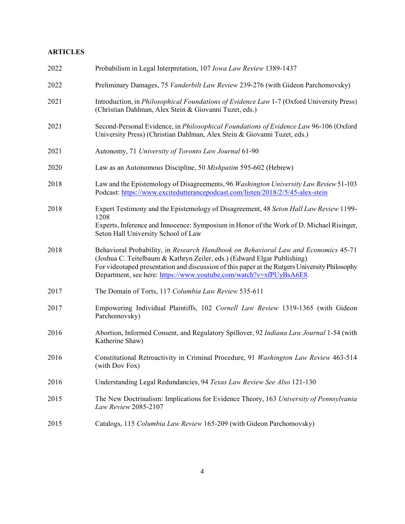# **ARTICLES**

| 2022 | Probabilism in Legal Interpretation, 107 Iowa Law Review 1389-1437                                                                                                                                                                                                                                                                   |
|------|--------------------------------------------------------------------------------------------------------------------------------------------------------------------------------------------------------------------------------------------------------------------------------------------------------------------------------------|
| 2022 | Preliminary Damages, 75 Vanderbilt Law Review 239-276 (with Gideon Parchomovsky)                                                                                                                                                                                                                                                     |
| 2021 | Introduction, in <i>Philosophical Foundations of Evidence Law</i> 1-7 (Oxford University Press)<br>(Christian Dahlman, Alex Stein & Giovanni Tuzet, eds.)                                                                                                                                                                            |
| 2021 | Second-Personal Evidence, in <i>Philosophical Foundations of Evidence Law</i> 96-106 (Oxford<br>University Press) (Christian Dahlman, Alex Stein & Giovanni Tuzet, eds.)                                                                                                                                                             |
| 2021 | Autonomy, 71 University of Toronto Law Journal 61-90                                                                                                                                                                                                                                                                                 |
| 2020 | Law as an Autonomous Discipline, 50 Mishpatim 595-602 (Hebrew)                                                                                                                                                                                                                                                                       |
| 2018 | Law and the Epistemology of Disagreements, 96 Washington University Law Review 51-103<br>Podcast: https://www.excitedutterancepodcast.com/listen/2018/2/5/45-alex-stein                                                                                                                                                              |
| 2018 | Expert Testimony and the Epistemology of Disagreement, 48 Seton Hall Law Review 1199-<br>1208<br>Experts, Inference and Innocence: Symposium in Honor of the Work of D. Michael Risinger,<br>Seton Hall University School of Law                                                                                                     |
| 2018 | Behavioral Probability, in Research Handbook on Behavioral Law and Economics 45-71<br>(Joshua C. Teitelbaum & Kathryn Zeiler, eds.) (Edward Elgar Publishing)<br>For videotaped presentation and discussion of this paper at the Rutgers University Philosophy<br>Department, see here: https://www.youtube.com/watch?v=xfPUyBsA6E8. |
| 2017 | The Domain of Torts, 117 Columbia Law Review 535-611                                                                                                                                                                                                                                                                                 |
| 2017 | Empowering Individual Plaintiffs, 102 Cornell Law Review 1319-1365 (with Gideon<br>Parchomovsky)                                                                                                                                                                                                                                     |
| 2016 | Abortion, Informed Consent, and Regulatory Spillover, 92 Indiana Law Journal 1-54 (with<br>Katherine Shaw)                                                                                                                                                                                                                           |
| 2016 | Constitutional Retroactivity in Criminal Procedure, 91 Washington Law Review 463-514<br>(with Dov Fox)                                                                                                                                                                                                                               |
| 2016 | Understanding Legal Redundancies, 94 Texas Law Review See Also 121-130                                                                                                                                                                                                                                                               |
| 2015 | The New Doctrinalism: Implications for Evidence Theory, 163 University of Pennsylvania<br>Law Review 2085-2107                                                                                                                                                                                                                       |
| 2015 | Catalogs, 115 Columbia Law Review 165-209 (with Gideon Parchomovsky)                                                                                                                                                                                                                                                                 |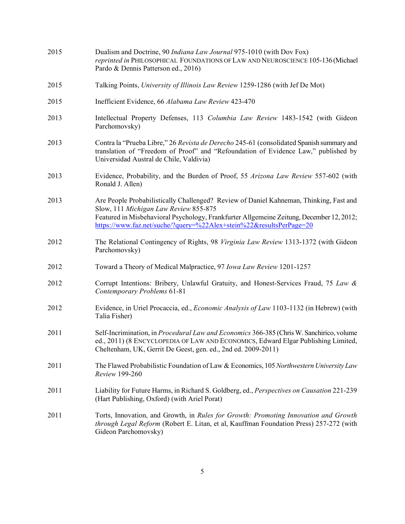| 2015 | Dualism and Doctrine, 90 Indiana Law Journal 975-1010 (with Dov Fox)<br>reprinted in PHILOSOPHICAL FOUNDATIONS OF LAW AND NEUROSCIENCE 105-136 (Michael<br>Pardo & Dennis Patterson ed., 2016)                                                                                                     |
|------|----------------------------------------------------------------------------------------------------------------------------------------------------------------------------------------------------------------------------------------------------------------------------------------------------|
| 2015 | Talking Points, University of Illinois Law Review 1259-1286 (with Jef De Mot)                                                                                                                                                                                                                      |
| 2015 | Inefficient Evidence, 66 Alabama Law Review 423-470                                                                                                                                                                                                                                                |
| 2013 | Intellectual Property Defenses, 113 Columbia Law Review 1483-1542 (with Gideon<br>Parchomovsky)                                                                                                                                                                                                    |
| 2013 | Contra la "Prueba Libre," 26 Revista de Derecho 245-61 (consolidated Spanish summary and<br>translation of "Freedom of Proof" and "Refoundation of Evidence Law," published by<br>Universidad Austral de Chile, Valdivia)                                                                          |
| 2013 | Evidence, Probability, and the Burden of Proof, 55 Arizona Law Review 557-602 (with<br>Ronald J. Allen)                                                                                                                                                                                            |
| 2013 | Are People Probabilistically Challenged? Review of Daniel Kahneman, Thinking, Fast and<br>Slow, 111 Michigan Law Review 855-875<br>Featured in Misbehavioral Psychology, Frankfurter Allgemeine Zeitung, December 12, 2012;<br>https://www.faz.net/suche/?query=%22Alex+stein%22&resultsPerPage=20 |
| 2012 | The Relational Contingency of Rights, 98 Virginia Law Review 1313-1372 (with Gideon<br>Parchomovsky)                                                                                                                                                                                               |
| 2012 | Toward a Theory of Medical Malpractice, 97 Iowa Law Review 1201-1257                                                                                                                                                                                                                               |
| 2012 | Corrupt Intentions: Bribery, Unlawful Gratuity, and Honest-Services Fraud, 75 Law &<br>Contemporary Problems 61-81                                                                                                                                                                                 |
| 2012 | Evidence, in Uriel Procaccia, ed., <i>Economic Analysis of Law</i> 1103-1132 (in Hebrew) (with<br>Talia Fisher)                                                                                                                                                                                    |
| 2011 | Self-Incrimination, in <i>Procedural Law and Economics</i> 366-385 (Chris W. Sanchirico, volume<br>ed., 2011) (8 ENCYCLOPEDIA OF LAW AND ECONOMICS, Edward Elgar Publishing Limited,<br>Cheltenham, UK, Gerrit De Geest, gen. ed., 2nd ed. 2009-2011)                                              |
| 2011 | The Flawed Probabilistic Foundation of Law & Economics, 105 Northwestern University Law<br>Review 199-260                                                                                                                                                                                          |
| 2011 | Liability for Future Harms, in Richard S. Goldberg, ed., Perspectives on Causation 221-239<br>(Hart Publishing, Oxford) (with Ariel Porat)                                                                                                                                                         |
| 2011 | Torts, Innovation, and Growth, in Rules for Growth: Promoting Innovation and Growth<br>through Legal Reform (Robert E. Litan, et al, Kauffman Foundation Press) 257-272 (with<br>Gideon Parchomovsky)                                                                                              |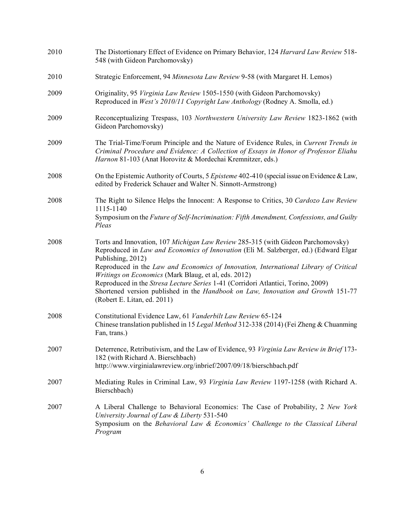| 2010 | The Distortionary Effect of Evidence on Primary Behavior, 124 Harvard Law Review 518-<br>548 (with Gideon Parchomovsky)                                                                                                                                                                                                                                                                                                                                                                                                                              |
|------|------------------------------------------------------------------------------------------------------------------------------------------------------------------------------------------------------------------------------------------------------------------------------------------------------------------------------------------------------------------------------------------------------------------------------------------------------------------------------------------------------------------------------------------------------|
| 2010 | Strategic Enforcement, 94 Minnesota Law Review 9-58 (with Margaret H. Lemos)                                                                                                                                                                                                                                                                                                                                                                                                                                                                         |
| 2009 | Originality, 95 Virginia Law Review 1505-1550 (with Gideon Parchomovsky)<br>Reproduced in West's 2010/11 Copyright Law Anthology (Rodney A. Smolla, ed.)                                                                                                                                                                                                                                                                                                                                                                                             |
| 2009 | Reconceptualizing Trespass, 103 Northwestern University Law Review 1823-1862 (with<br>Gideon Parchomovsky)                                                                                                                                                                                                                                                                                                                                                                                                                                           |
| 2009 | The Trial-Time/Forum Principle and the Nature of Evidence Rules, in Current Trends in<br>Criminal Procedure and Evidence: A Collection of Essays in Honor of Professor Eliahu<br>Harnon 81-103 (Anat Horovitz & Mordechai Kremnitzer, eds.)                                                                                                                                                                                                                                                                                                          |
| 2008 | On the Epistemic Authority of Courts, 5 Episteme 402-410 (special issue on Evidence & Law,<br>edited by Frederick Schauer and Walter N. Sinnott-Armstrong)                                                                                                                                                                                                                                                                                                                                                                                           |
| 2008 | The Right to Silence Helps the Innocent: A Response to Critics, 30 Cardozo Law Review<br>1115-1140<br>Symposium on the Future of Self-Incrimination: Fifth Amendment, Confessions, and Guilty<br>Pleas                                                                                                                                                                                                                                                                                                                                               |
| 2008 | Torts and Innovation, 107 Michigan Law Review 285-315 (with Gideon Parchomovsky)<br>Reproduced in Law and Economics of Innovation (Eli M. Salzberger, ed.) (Edward Elgar<br>Publishing, 2012)<br>Reproduced in the Law and Economics of Innovation, International Library of Critical<br>Writings on Economics (Mark Blaug, et al, eds. 2012)<br>Reproduced in the Stresa Lecture Series 1-41 (Corridori Atlantici, Torino, 2009)<br>Shortened version published in the Handbook on Law, Innovation and Growth 151-77<br>(Robert E. Litan, ed. 2011) |
| 2008 | Constitutional Evidence Law, 61 Vanderbilt Law Review 65-124<br>Chinese translation published in 15 Legal Method 312-338 (2014) (Fei Zheng & Chuanming<br>Fan, trans.)                                                                                                                                                                                                                                                                                                                                                                               |
| 2007 | Deterrence, Retributivism, and the Law of Evidence, 93 Virginia Law Review in Brief 173-<br>182 (with Richard A. Bierschbach)<br>http://www.virginialawreview.org/inbrief/2007/09/18/bierschbach.pdf                                                                                                                                                                                                                                                                                                                                                 |
| 2007 | Mediating Rules in Criminal Law, 93 Virginia Law Review 1197-1258 (with Richard A.<br>Bierschbach)                                                                                                                                                                                                                                                                                                                                                                                                                                                   |
| 2007 | A Liberal Challenge to Behavioral Economics: The Case of Probability, 2 New York<br>University Journal of Law & Liberty 531-540<br>Symposium on the Behavioral Law & Economics' Challenge to the Classical Liberal<br>Program                                                                                                                                                                                                                                                                                                                        |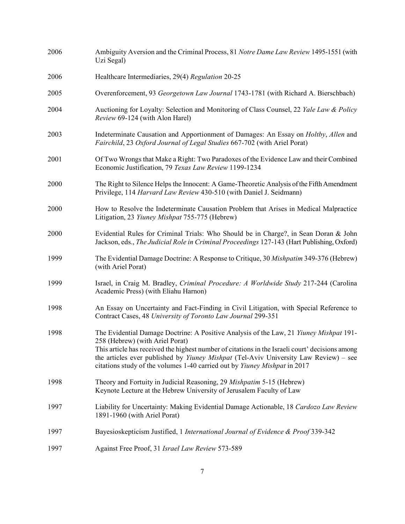| 2006 | Ambiguity Aversion and the Criminal Process, 81 Notre Dame Law Review 1495-1551 (with<br>Uzi Segal)                                                                                                                                                                                                                                                                                                      |
|------|----------------------------------------------------------------------------------------------------------------------------------------------------------------------------------------------------------------------------------------------------------------------------------------------------------------------------------------------------------------------------------------------------------|
| 2006 | Healthcare Intermediaries, 29(4) Regulation 20-25                                                                                                                                                                                                                                                                                                                                                        |
| 2005 | Overenforcement, 93 Georgetown Law Journal 1743-1781 (with Richard A. Bierschbach)                                                                                                                                                                                                                                                                                                                       |
| 2004 | Auctioning for Loyalty: Selection and Monitoring of Class Counsel, 22 Yale Law & Policy<br>Review 69-124 (with Alon Harel)                                                                                                                                                                                                                                                                               |
| 2003 | Indeterminate Causation and Apportionment of Damages: An Essay on <i>Holtby, Allen</i> and<br>Fairchild, 23 Oxford Journal of Legal Studies 667-702 (with Ariel Porat)                                                                                                                                                                                                                                   |
| 2001 | Of Two Wrongs that Make a Right: Two Paradoxes of the Evidence Law and their Combined<br>Economic Justification, 79 Texas Law Review 1199-1234                                                                                                                                                                                                                                                           |
| 2000 | The Right to Silence Helps the Innocent: A Game-Theoretic Analysis of the Fifth Amendment<br>Privilege, 114 Harvard Law Review 430-510 (with Daniel J. Seidmann)                                                                                                                                                                                                                                         |
| 2000 | How to Resolve the Indeterminate Causation Problem that Arises in Medical Malpractice<br>Litigation, 23 Yiuney Mishpat 755-775 (Hebrew)                                                                                                                                                                                                                                                                  |
| 2000 | Evidential Rules for Criminal Trials: Who Should be in Charge?, in Sean Doran & John<br>Jackson, eds., The Judicial Role in Criminal Proceedings 127-143 (Hart Publishing, Oxford)                                                                                                                                                                                                                       |
| 1999 | The Evidential Damage Doctrine: A Response to Critique, 30 Mishpatim 349-376 (Hebrew)<br>(with Ariel Porat)                                                                                                                                                                                                                                                                                              |
| 1999 | Israel, in Craig M. Bradley, <i>Criminal Procedure: A Worldwide Study</i> 217-244 (Carolina<br>Academic Press) (with Eliahu Harnon)                                                                                                                                                                                                                                                                      |
| 1998 | An Essay on Uncertainty and Fact-Finding in Civil Litigation, with Special Reference to<br>Contract Cases, 48 University of Toronto Law Journal 299-351                                                                                                                                                                                                                                                  |
| 1998 | The Evidential Damage Doctrine: A Positive Analysis of the Law, 21 Yiuney Mishpat 191-<br>258 (Hebrew) (with Ariel Porat)<br>This article has received the highest number of citations in the Israeli court' decisions among<br>the articles ever published by <i>Yiuney Mishpat</i> (Tel-Aviv University Law Review) – see<br>citations study of the volumes 1-40 carried out by Yiuney Mishpat in 2017 |
| 1998 | Theory and Fortuity in Judicial Reasoning, 29 Mishpatim 5-15 (Hebrew)<br>Keynote Lecture at the Hebrew University of Jerusalem Faculty of Law                                                                                                                                                                                                                                                            |
| 1997 | Liability for Uncertainty: Making Evidential Damage Actionable, 18 Cardozo Law Review<br>1891-1960 (with Ariel Porat)                                                                                                                                                                                                                                                                                    |
| 1997 | Bayesioskepticism Justified, 1 International Journal of Evidence & Proof 339-342                                                                                                                                                                                                                                                                                                                         |
| 1997 | Against Free Proof, 31 Israel Law Review 573-589                                                                                                                                                                                                                                                                                                                                                         |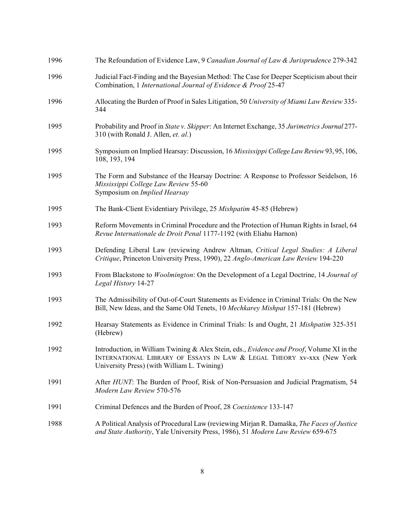| 1996 | The Refoundation of Evidence Law, 9 Canadian Journal of Law & Jurisprudence 279-342                                                                                                                                |
|------|--------------------------------------------------------------------------------------------------------------------------------------------------------------------------------------------------------------------|
| 1996 | Judicial Fact-Finding and the Bayesian Method: The Case for Deeper Scepticism about their<br>Combination, 1 International Journal of Evidence & Proof 25-47                                                        |
| 1996 | Allocating the Burden of Proof in Sales Litigation, 50 University of Miami Law Review 335-<br>344                                                                                                                  |
| 1995 | Probability and Proof in State v. Skipper: An Internet Exchange, 35 Jurimetrics Journal 277-<br>310 (with Ronald J. Allen, et. al.)                                                                                |
| 1995 | Symposium on Implied Hearsay: Discussion, 16 Mississippi College Law Review 93, 95, 106,<br>108, 193, 194                                                                                                          |
| 1995 | The Form and Substance of the Hearsay Doctrine: A Response to Professor Seidelson, 16<br>Mississippi College Law Review 55-60<br>Symposium on Implied Hearsay                                                      |
| 1995 | The Bank-Client Evidentiary Privilege, 25 Mishpatim 45-85 (Hebrew)                                                                                                                                                 |
| 1993 | Reform Movements in Criminal Procedure and the Protection of Human Rights in Israel, 64<br>Revue Internationale de Droit Penal 1177-1192 (with Eliahu Harnon)                                                      |
| 1993 | Defending Liberal Law (reviewing Andrew Altman, Critical Legal Studies: A Liberal<br>Critique, Princeton University Press, 1990), 22 Anglo-American Law Review 194-220                                             |
| 1993 | From Blackstone to <i>Woolmington</i> : On the Development of a Legal Doctrine, 14 Journal of<br>Legal History 14-27                                                                                               |
| 1993 | The Admissibility of Out-of-Court Statements as Evidence in Criminal Trials: On the New<br>Bill, New Ideas, and the Same Old Tenets, 10 Mechkarey Mishpat 157-181 (Hebrew)                                         |
| 1992 | Hearsay Statements as Evidence in Criminal Trials: Is and Ought, 21 Mishpatim 325-351<br>(Hebrew)                                                                                                                  |
| 1992 | Introduction, in William Twining & Alex Stein, eds., Evidence and Proof, Volume XI in the<br>INTERNATIONAL LIBRARY OF ESSAYS IN LAW & LEGAL THEORY XV-XXX (New York<br>University Press) (with William L. Twining) |
| 1991 | After HUNT: The Burden of Proof, Risk of Non-Persuasion and Judicial Pragmatism, 54<br>Modern Law Review 570-576                                                                                                   |
| 1991 | Criminal Defences and the Burden of Proof, 28 Coexistence 133-147                                                                                                                                                  |
| 1988 | A Political Analysis of Procedural Law (reviewing Mirjan R. Damaška, The Faces of Justice<br>and State Authority, Yale University Press, 1986), 51 Modern Law Review 659-675                                       |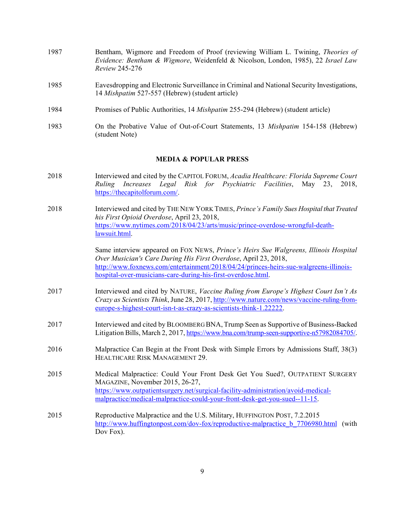- 1987 Bentham, Wigmore and Freedom of Proof (reviewing William L. Twining, *Theories of Evidence: Bentham & Wigmore*, Weidenfeld & Nicolson, London, 1985), 22 *Israel Law Review* 245-276
- 1985 Eavesdropping and Electronic Surveillance in Criminal and National Security Investigations, 14 *Mishpatim* 527-557 (Hebrew) (student article)
- 1984 Promises of Public Authorities, 14 *Mishpatim* 255-294 (Hebrew) (student article)
- 1983 On the Probative Value of Out-of-Court Statements, 13 *Mishpatim* 154-158 (Hebrew) (student Note)

#### **MEDIA & POPULAR PRESS**

- 2018 Interviewed and cited by the CAPITOL FORUM, *Acadia Healthcare: Florida Supreme Court Ruling Increases Legal Risk for Psychiatric Facilities*, May 23, 2018, https://thecapitolforum.com/.
- 2018 Interviewed and cited by THE NEW YORK TIMES, *Prince's Family Sues Hospital that Treated his First Opioid Overdose*, April 23, 2018, https://www.nytimes.com/2018/04/23/arts/music/prince-overdose-wrongful-deathlawsuit.html.

Same interview appeared on FOX NEWS, *Prince's Heirs Sue Walgreens, Illinois Hospital Over Musician's Care During His First Overdose*, April 23, 2018, http://www.foxnews.com/entertainment/2018/04/24/princes-heirs-sue-walgreens-illinoishospital-over-musicians-care-during-his-first-overdose.html.

- 2017 Interviewed and cited by NATURE, *Vaccine Ruling from Europe's Highest Court Isn't As Crazy as Scientists Think*, June 28, 2017, http://www.nature.com/news/vaccine-ruling-fromeurope-s-highest-court-isn-t-as-crazy-as-scientists-think-1.22222.
- 2017 Interviewed and cited by BLOOMBERG BNA,Trump Seen as Supportive of Business-Backed Litigation Bills, March 2, 2017, https://www.bna.com/trump-seen-supportive-n57982084705/.
- 2016 Malpractice Can Begin at the Front Desk with Simple Errors by Admissions Staff, 38(3) HEALTHCARE RISK MANAGEMENT 29.
- 2015 Medical Malpractice: Could Your Front Desk Get You Sued?, OUTPATIENT SURGERY MAGAZINE, November 2015, 26-27, https://www.outpatientsurgery.net/surgical-facility-administration/avoid-medicalmalpractice/medical-malpractice-could-your-front-desk-get-you-sued--11-15.
- 2015 Reproductive Malpractice and the U.S. Military, HUFFINGTON POST, 7.2.2015 http://www.huffingtonpost.com/dov-fox/reproductive-malpractice b 7706980.html (with Dov Fox).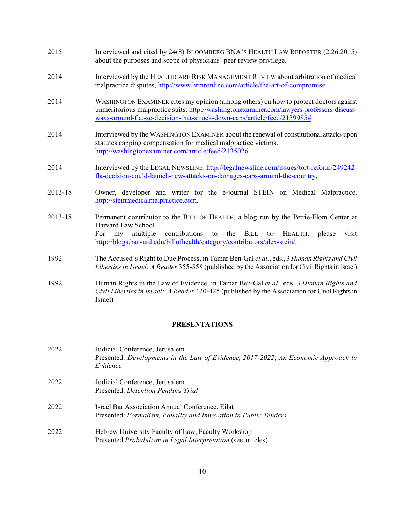- 2015 Interviewed and cited by 24(8) BLOOMBERG BNA'S HEALTH LAW REPORTER (2.26.2015) about the purposes and scope of physicians' peer review privilege.
- 2014 Interviewed by the HEALTHCARE RISK MANAGEMENT REVIEW about arbitration of medical malpractice disputes, http://www.hrmronline.com/article/the-art-of-compromise.
- 2014 WASHINGTON EXAMINER cites my opinion (among others) on how to protect doctors against unmeritorious malpractice suits: http://washingtonexaminer.com/lawyers-professors-discussways-around-fla.-sc-decision-that-struck-down-caps/article/feed/2139985#.
- 2014 Interviewed by the WASHINGTON EXAMINER about the renewal of constitutional attacks upon statutes capping compensation for medical malpractice victims. http://washingtonexaminer.com/article/feed/2135026
- 2014 Interviewed by the LEGAL NEWSLINE: http://legalnewsline.com/issues/tort-reform/249242 fla-decision-could-launch-new-attacks-on-damages-caps-around-the-country.
- 2013-18 Owner, developer and writer for the e-journal STEIN on Medical Malpractice, http://steinmedicalmalpractice.com.
- 2013-18 Permanent contributor to the BILL OF HEALTH, a blog run by the Petrie-Flom Center at Harvard Law School For my multiple contributions to the BILL OF HEALTH, please visit http://blogs.harvard.edu/billofhealth/category/contributors/alex-stein/.
- 1992 The Accused's Right to Due Process, in Tamar Ben-Gal *et al*., eds., 3 *Human Rights and Civil Liberties in Israel: A Reader* 355-358 (published by the Association for Civil Rights in Israel)
- 1992 Human Rights in the Law of Evidence, in Tamar Ben-Gal *et al*., eds. 3 *Human Rights and Civil Liberties in Israel: A Reader* 420-425 (published by the Association for Civil Rights in Israel)

### **PRESENTATIONS**

2022 Judicial Conference, Jerusalem Presented: *Developments in the Law of Evidence, 2017-2022*; *An Economic Approach to Evidence* 2022 Judicial Conference, Jerusalem Presented: *Detention Pending Trial* 2022 Israel Bar Association Annual Conference, Eilat Presented: *Formalism, Equality and Innovation in Public Tenders* 2022 Hebrew University Faculty of Law, Faculty Workshop Presented *Probabilism in Legal Interpretation* (see articles)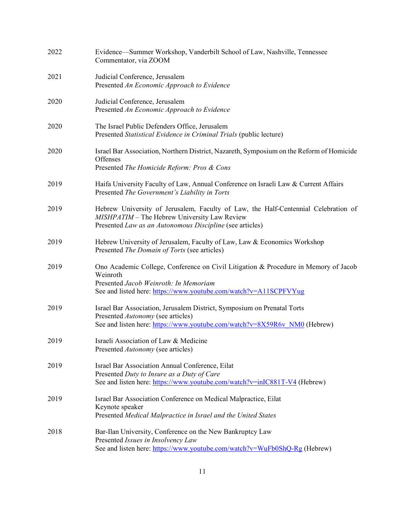| 2022 | Evidence—Summer Workshop, Vanderbilt School of Law, Nashville, Tennessee<br>Commentator, via ZOOM                                                                                                            |
|------|--------------------------------------------------------------------------------------------------------------------------------------------------------------------------------------------------------------|
| 2021 | Judicial Conference, Jerusalem<br>Presented An Economic Approach to Evidence                                                                                                                                 |
| 2020 | Judicial Conference, Jerusalem<br>Presented An Economic Approach to Evidence                                                                                                                                 |
| 2020 | The Israel Public Defenders Office, Jerusalem<br>Presented Statistical Evidence in Criminal Trials (public lecture)                                                                                          |
| 2020 | Israel Bar Association, Northern District, Nazareth, Symposium on the Reform of Homicide<br>Offenses<br>Presented The Homicide Reform: Pros & Cons                                                           |
| 2019 | Haifa University Faculty of Law, Annual Conference on Israeli Law & Current Affairs<br>Presented The Government's Liability in Torts                                                                         |
| 2019 | Hebrew University of Jerusalem, Faculty of Law, the Half-Centennial Celebration of<br>MISHPATIM - The Hebrew University Law Review<br>Presented Law as an Autonomous Discipline (see articles)               |
| 2019 | Hebrew University of Jerusalem, Faculty of Law, Law & Economics Workshop<br>Presented The Domain of Torts (see articles)                                                                                     |
| 2019 | Ono Academic College, Conference on Civil Litigation & Procedure in Memory of Jacob<br>Weinroth<br>Presented Jacob Weinroth: In Memoriam<br>See and listed here: https://www.youtube.com/watch?v=A11SCPFVYug |
| 2019 | Israel Bar Association, Jerusalem District, Symposium on Prenatal Torts<br>Presented Autonomy (see articles)<br>See and listen here: https://www.youtube.com/watch?v=8X59R6v_NM0 (Hebrew)                    |
| 2019 | Israeli Association of Law & Medicine<br>Presented Autonomy (see articles)                                                                                                                                   |
| 2019 | Israel Bar Association Annual Conference, Eilat<br>Presented Duty to Insure as a Duty of Care<br>See and listen here: https://www.youtube.com/watch?v=inIC881T-V4 (Hebrew)                                   |
| 2019 | Israel Bar Association Conference on Medical Malpractice, Eilat<br>Keynote speaker<br>Presented Medical Malpractice in Israel and the United States                                                          |
| 2018 | Bar-Ilan University, Conference on the New Bankruptcy Law<br>Presented Issues in Insolvency Law<br>See and listen here: https://www.youtube.com/watch?v=WuFb0ShQ-Rg (Hebrew)                                 |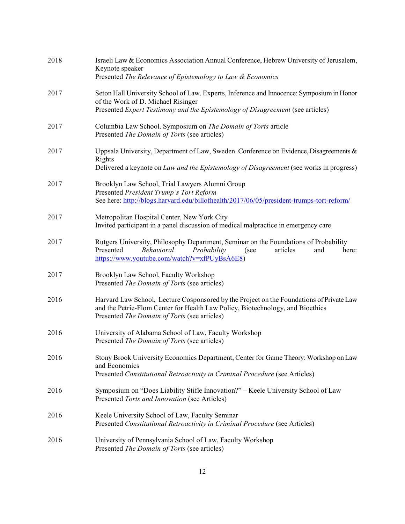| 2018 | Israeli Law & Economics Association Annual Conference, Hebrew University of Jerusalem,<br>Keynote speaker<br>Presented The Relevance of Epistemology to Law & Economics                                                    |
|------|----------------------------------------------------------------------------------------------------------------------------------------------------------------------------------------------------------------------------|
| 2017 | Seton Hall University School of Law. Experts, Inference and Innocence: Symposium in Honor<br>of the Work of D. Michael Risinger<br>Presented Expert Testimony and the Epistemology of Disagreement (see articles)          |
| 2017 | Columbia Law School. Symposium on The Domain of Torts article<br>Presented The Domain of Torts (see articles)                                                                                                              |
| 2017 | Uppsala University, Department of Law, Sweden. Conference on Evidence, Disagreements &<br>Rights<br>Delivered a keynote on Law and the Epistemology of Disagreement (see works in progress)                                |
| 2017 | Brooklyn Law School, Trial Lawyers Alumni Group<br>Presented President Trump's Tort Reform<br>See here: http://blogs.harvard.edu/billofhealth/2017/06/05/president-trumps-tort-reform/                                     |
| 2017 | Metropolitan Hospital Center, New York City<br>Invited participant in a panel discussion of medical malpractice in emergency care                                                                                          |
| 2017 | Rutgers University, Philosophy Department, Seminar on the Foundations of Probability<br>Presented<br>Behavioral<br>Probability<br>articles<br>and<br>here:<br>(see<br>https://www.youtube.com/watch?v=xfPUyBsA6E8)         |
| 2017 | Brooklyn Law School, Faculty Workshop<br>Presented The Domain of Torts (see articles)                                                                                                                                      |
| 2016 | Harvard Law School, Lecture Cosponsored by the Project on the Foundations of Private Law<br>and the Petrie-Flom Center for Health Law Policy, Biotechnology, and Bioethics<br>Presented The Domain of Torts (see articles) |
| 2016 | University of Alabama School of Law, Faculty Workshop<br>Presented The Domain of Torts (see articles)                                                                                                                      |
| 2016 | Stony Brook University Economics Department, Center for Game Theory: Workshop on Law<br>and Economics<br>Presented Constitutional Retroactivity in Criminal Procedure (see Articles)                                       |
| 2016 | Symposium on "Does Liability Stifle Innovation?" – Keele University School of Law<br>Presented Torts and Innovation (see Articles)                                                                                         |
| 2016 | Keele University School of Law, Faculty Seminar<br>Presented Constitutional Retroactivity in Criminal Procedure (see Articles)                                                                                             |
| 2016 | University of Pennsylvania School of Law, Faculty Workshop<br>Presented The Domain of Torts (see articles)                                                                                                                 |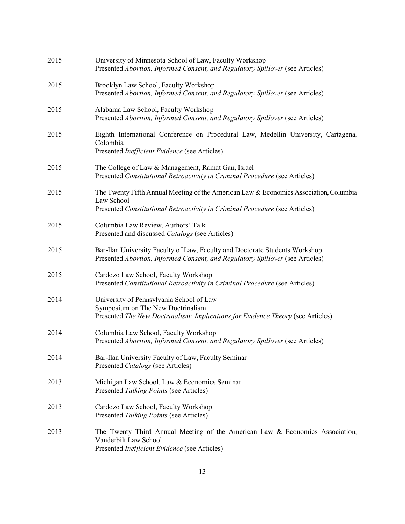| 2015 | University of Minnesota School of Law, Faculty Workshop<br>Presented Abortion, Informed Consent, and Regulatory Spillover (see Articles)                                           |
|------|------------------------------------------------------------------------------------------------------------------------------------------------------------------------------------|
| 2015 | Brooklyn Law School, Faculty Workshop<br>Presented Abortion, Informed Consent, and Regulatory Spillover (see Articles)                                                             |
| 2015 | Alabama Law School, Faculty Workshop<br>Presented Abortion, Informed Consent, and Regulatory Spillover (see Articles)                                                              |
| 2015 | Eighth International Conference on Procedural Law, Medellin University, Cartagena,<br>Colombia<br>Presented <i>Inefficient Evidence</i> (see Articles)                             |
| 2015 | The College of Law & Management, Ramat Gan, Israel<br>Presented Constitutional Retroactivity in Criminal Procedure (see Articles)                                                  |
| 2015 | The Twenty Fifth Annual Meeting of the American Law & Economics Association, Columbia<br>Law School<br>Presented Constitutional Retroactivity in Criminal Procedure (see Articles) |
| 2015 | Columbia Law Review, Authors' Talk<br>Presented and discussed Catalogs (see Articles)                                                                                              |
| 2015 | Bar-Ilan University Faculty of Law, Faculty and Doctorate Students Workshop<br>Presented Abortion, Informed Consent, and Regulatory Spillover (see Articles)                       |
| 2015 | Cardozo Law School, Faculty Workshop<br>Presented Constitutional Retroactivity in Criminal Procedure (see Articles)                                                                |
| 2014 | University of Pennsylvania School of Law<br>Symposium on The New Doctrinalism<br>Presented The New Doctrinalism: Implications for Evidence Theory (see Articles)                   |
| 2014 | Columbia Law School, Faculty Workshop<br>Presented Abortion, Informed Consent, and Regulatory Spillover (see Articles)                                                             |
| 2014 | Bar-Ilan University Faculty of Law, Faculty Seminar<br>Presented Catalogs (see Articles)                                                                                           |
| 2013 | Michigan Law School, Law & Economics Seminar<br>Presented Talking Points (see Articles)                                                                                            |
| 2013 | Cardozo Law School, Faculty Workshop<br>Presented Talking Points (see Articles)                                                                                                    |
| 2013 | The Twenty Third Annual Meeting of the American Law & Economics Association,<br>Vanderbilt Law School<br>Presented Inefficient Evidence (see Articles)                             |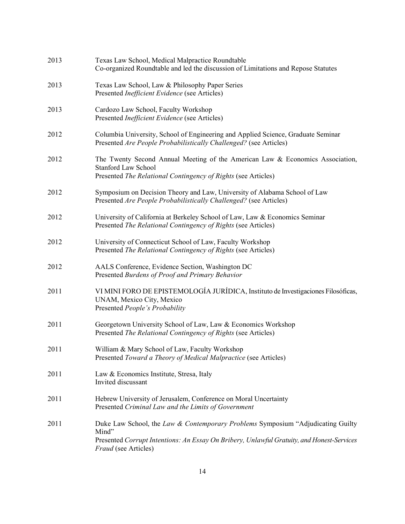| 2013 | Texas Law School, Medical Malpractice Roundtable<br>Co-organized Roundtable and led the discussion of Limitations and Repose Statutes                                                                         |
|------|---------------------------------------------------------------------------------------------------------------------------------------------------------------------------------------------------------------|
| 2013 | Texas Law School, Law & Philosophy Paper Series<br>Presented <i>Inefficient Evidence</i> (see Articles)                                                                                                       |
| 2013 | Cardozo Law School, Faculty Workshop<br>Presented <i>Inefficient Evidence</i> (see Articles)                                                                                                                  |
| 2012 | Columbia University, School of Engineering and Applied Science, Graduate Seminar<br>Presented Are People Probabilistically Challenged? (see Articles)                                                         |
| 2012 | The Twenty Second Annual Meeting of the American Law & Economics Association,<br><b>Stanford Law School</b><br>Presented The Relational Contingency of Rights (see Articles)                                  |
| 2012 | Symposium on Decision Theory and Law, University of Alabama School of Law<br>Presented Are People Probabilistically Challenged? (see Articles)                                                                |
| 2012 | University of California at Berkeley School of Law, Law & Economics Seminar<br>Presented The Relational Contingency of Rights (see Articles)                                                                  |
| 2012 | University of Connecticut School of Law, Faculty Workshop<br>Presented The Relational Contingency of Rights (see Articles)                                                                                    |
| 2012 | AALS Conference, Evidence Section, Washington DC<br>Presented Burdens of Proof and Primary Behavior                                                                                                           |
| 2011 | VI MINI FORO DE EPISTEMOLOGÍA JURÍDICA, Instituto de Investigaciones Filosóficas,<br>UNAM, Mexico City, Mexico<br>Presented People's Probability                                                              |
| 2011 | Georgetown University School of Law, Law & Economics Workshop<br>Presented The Relational Contingency of Rights (see Articles)                                                                                |
| 2011 | William & Mary School of Law, Faculty Workshop<br>Presented Toward a Theory of Medical Malpractice (see Articles)                                                                                             |
| 2011 | Law & Economics Institute, Stresa, Italy<br>Invited discussant                                                                                                                                                |
| 2011 | Hebrew University of Jerusalem, Conference on Moral Uncertainty<br>Presented Criminal Law and the Limits of Government                                                                                        |
| 2011 | Duke Law School, the Law & Contemporary Problems Symposium "Adjudicating Guilty<br>Mind"<br>Presented Corrupt Intentions: An Essay On Bribery, Unlawful Gratuity, and Honest-Services<br>Fraud (see Articles) |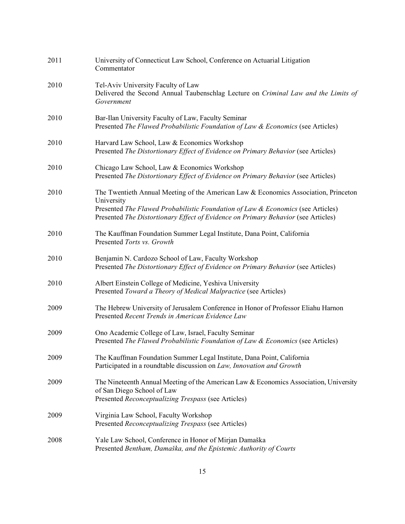| 2011 | University of Connecticut Law School, Conference on Actuarial Litigation<br>Commentator                                                                                                                                                                                      |  |
|------|------------------------------------------------------------------------------------------------------------------------------------------------------------------------------------------------------------------------------------------------------------------------------|--|
| 2010 | Tel-Aviv University Faculty of Law<br>Delivered the Second Annual Taubenschlag Lecture on Criminal Law and the Limits of<br>Government                                                                                                                                       |  |
| 2010 | Bar-Ilan University Faculty of Law, Faculty Seminar<br>Presented The Flawed Probabilistic Foundation of Law & Economics (see Articles)                                                                                                                                       |  |
| 2010 | Harvard Law School, Law & Economics Workshop<br>Presented The Distortionary Effect of Evidence on Primary Behavior (see Articles)                                                                                                                                            |  |
| 2010 | Chicago Law School, Law & Economics Workshop<br>Presented The Distortionary Effect of Evidence on Primary Behavior (see Articles)                                                                                                                                            |  |
| 2010 | The Twentieth Annual Meeting of the American Law $\&$ Economics Association, Princeton<br>University<br>Presented The Flawed Probabilistic Foundation of Law & Economics (see Articles)<br>Presented The Distortionary Effect of Evidence on Primary Behavior (see Articles) |  |
| 2010 | The Kauffman Foundation Summer Legal Institute, Dana Point, California<br>Presented Torts vs. Growth                                                                                                                                                                         |  |
| 2010 | Benjamin N. Cardozo School of Law, Faculty Workshop<br>Presented The Distortionary Effect of Evidence on Primary Behavior (see Articles)                                                                                                                                     |  |
| 2010 | Albert Einstein College of Medicine, Yeshiva University<br>Presented Toward a Theory of Medical Malpractice (see Articles)                                                                                                                                                   |  |
| 2009 | The Hebrew University of Jerusalem Conference in Honor of Professor Eliahu Harnon<br>Presented Recent Trends in American Evidence Law                                                                                                                                        |  |
| 2009 | Ono Academic College of Law, Israel, Faculty Seminar<br>Presented The Flawed Probabilistic Foundation of Law & Economics (see Articles)                                                                                                                                      |  |
| 2009 | The Kauffman Foundation Summer Legal Institute, Dana Point, California<br>Participated in a roundtable discussion on Law, Innovation and Growth                                                                                                                              |  |
| 2009 | The Nineteenth Annual Meeting of the American Law & Economics Association, University<br>of San Diego School of Law<br>Presented Reconceptualizing Trespass (see Articles)                                                                                                   |  |
| 2009 | Virginia Law School, Faculty Workshop<br>Presented Reconceptualizing Trespass (see Articles)                                                                                                                                                                                 |  |
| 2008 | Yale Law School, Conference in Honor of Mirjan Damaška<br>Presented Bentham, Damaška, and the Epistemic Authority of Courts                                                                                                                                                  |  |
|      |                                                                                                                                                                                                                                                                              |  |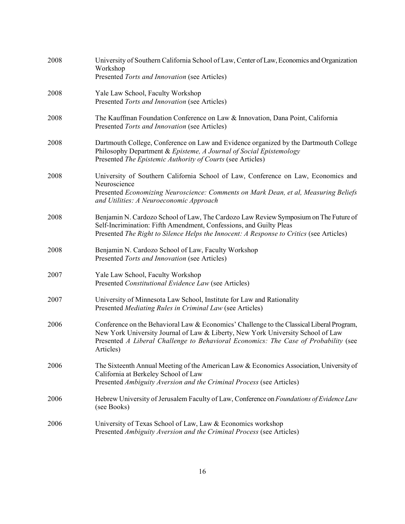| 2008 | University of Southern California School of Law, Center of Law, Economics and Organization<br>Workshop                                                                                                                                                                           |  |
|------|----------------------------------------------------------------------------------------------------------------------------------------------------------------------------------------------------------------------------------------------------------------------------------|--|
|      | Presented Torts and Innovation (see Articles)                                                                                                                                                                                                                                    |  |
| 2008 | Yale Law School, Faculty Workshop<br>Presented Torts and Innovation (see Articles)                                                                                                                                                                                               |  |
| 2008 | The Kauffman Foundation Conference on Law & Innovation, Dana Point, California<br>Presented Torts and Innovation (see Articles)                                                                                                                                                  |  |
| 2008 | Dartmouth College, Conference on Law and Evidence organized by the Dartmouth College<br>Philosophy Department & Episteme, A Journal of Social Epistemology<br>Presented The Epistemic Authority of Courts (see Articles)                                                         |  |
| 2008 | University of Southern California School of Law, Conference on Law, Economics and<br>Neuroscience<br>Presented Economizing Neuroscience: Comments on Mark Dean, et al, Measuring Beliefs<br>and Utilities: A Neuroeconomic Approach                                              |  |
| 2008 | Benjamin N. Cardozo School of Law, The Cardozo Law Review Symposium on The Future of<br>Self-Incrimination: Fifth Amendment, Confessions, and Guilty Pleas<br>Presented The Right to Silence Helps the Innocent: A Response to Critics (see Articles)                            |  |
| 2008 | Benjamin N. Cardozo School of Law, Faculty Workshop<br>Presented Torts and Innovation (see Articles)                                                                                                                                                                             |  |
| 2007 | Yale Law School, Faculty Workshop<br>Presented Constitutional Evidence Law (see Articles)                                                                                                                                                                                        |  |
| 2007 | University of Minnesota Law School, Institute for Law and Rationality<br>Presented Mediating Rules in Criminal Law (see Articles)                                                                                                                                                |  |
| 2006 | Conference on the Behavioral Law & Economics' Challenge to the Classical Liberal Program,<br>New York University Journal of Law & Liberty, New York University School of Law<br>Presented A Liberal Challenge to Behavioral Economics: The Case of Probability (see<br>Articles) |  |
| 2006 | The Sixteenth Annual Meeting of the American Law $&$ Economics Association, University of<br>California at Berkeley School of Law<br>Presented Ambiguity Aversion and the Criminal Process (see Articles)                                                                        |  |
| 2006 | Hebrew University of Jerusalem Faculty of Law, Conference on Foundations of Evidence Law<br>(see Books)                                                                                                                                                                          |  |
| 2006 | University of Texas School of Law, Law & Economics workshop<br>Presented Ambiguity Aversion and the Criminal Process (see Articles)                                                                                                                                              |  |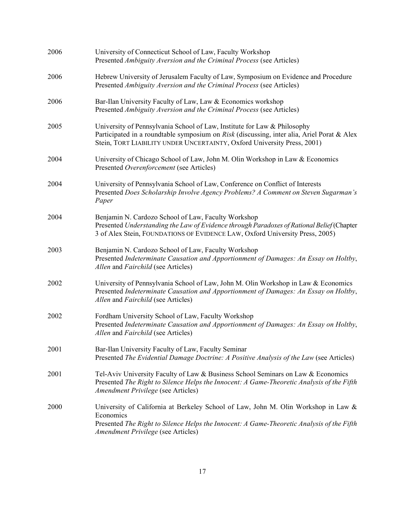| 2006 | University of Connecticut School of Law, Faculty Workshop<br>Presented Ambiguity Aversion and the Criminal Process (see Articles)                                                                                                                 |  |
|------|---------------------------------------------------------------------------------------------------------------------------------------------------------------------------------------------------------------------------------------------------|--|
| 2006 | Hebrew University of Jerusalem Faculty of Law, Symposium on Evidence and Procedure<br>Presented Ambiguity Aversion and the Criminal Process (see Articles)                                                                                        |  |
| 2006 | Bar-Ilan University Faculty of Law, Law & Economics workshop<br>Presented Ambiguity Aversion and the Criminal Process (see Articles)                                                                                                              |  |
| 2005 | University of Pennsylvania School of Law, Institute for Law & Philosophy<br>Participated in a roundtable symposium on Risk (discussing, inter alia, Ariel Porat & Alex<br>Stein, TORT LIABILITY UNDER UNCERTAINTY, Oxford University Press, 2001) |  |
| 2004 | University of Chicago School of Law, John M. Olin Workshop in Law & Economics<br>Presented Overenforcement (see Articles)                                                                                                                         |  |
| 2004 | University of Pennsylvania School of Law, Conference on Conflict of Interests<br>Presented Does Scholarship Involve Agency Problems? A Comment on Steven Sugarman's<br>Paper                                                                      |  |
| 2004 | Benjamin N. Cardozo School of Law, Faculty Workshop<br>Presented Understanding the Law of Evidence through Paradoxes of Rational Belief (Chapter<br>3 of Alex Stein, FOUNDATIONS OF EVIDENCE LAW, Oxford University Press, 2005)                  |  |
| 2003 | Benjamin N. Cardozo School of Law, Faculty Workshop<br>Presented Indeterminate Causation and Apportionment of Damages: An Essay on Holtby,<br>Allen and Fairchild (see Articles)                                                                  |  |
| 2002 | University of Pennsylvania School of Law, John M. Olin Workshop in Law & Economics<br>Presented Indeterminate Causation and Apportionment of Damages: An Essay on Holtby,<br>Allen and Fairchild (see Articles)                                   |  |
| 2002 | Fordham University School of Law, Faculty Workshop<br>Presented Indeterminate Causation and Apportionment of Damages: An Essay on Holtby,<br>Allen and Fairchild (see Articles)                                                                   |  |
| 2001 | Bar-Ilan University Faculty of Law, Faculty Seminar<br>Presented The Evidential Damage Doctrine: A Positive Analysis of the Law (see Articles)                                                                                                    |  |
| 2001 | Tel-Aviv University Faculty of Law & Business School Seminars on Law & Economics<br>Presented The Right to Silence Helps the Innocent: A Game-Theoretic Analysis of the Fifth<br>Amendment Privilege (see Articles)                               |  |
| 2000 | University of California at Berkeley School of Law, John M. Olin Workshop in Law &<br>Economics<br>Presented The Right to Silence Helps the Innocent: A Game-Theoretic Analysis of the Fifth<br>Amendment Privilege (see Articles)                |  |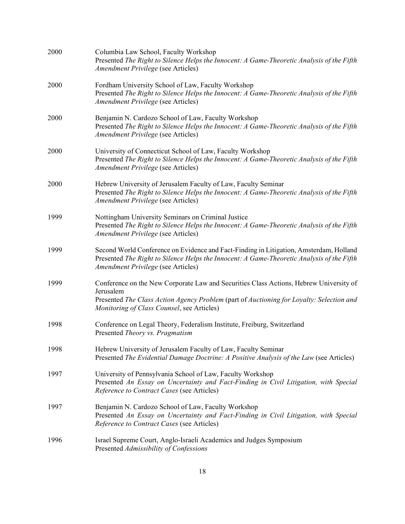| 2000 | Columbia Law School, Faculty Workshop<br>Presented The Right to Silence Helps the Innocent: A Game-Theoretic Analysis of the Fifth<br>Amendment Privilege (see Articles)                                                                      |  |
|------|-----------------------------------------------------------------------------------------------------------------------------------------------------------------------------------------------------------------------------------------------|--|
| 2000 | Fordham University School of Law, Faculty Workshop<br>Presented The Right to Silence Helps the Innocent: A Game-Theoretic Analysis of the Fifth<br>Amendment Privilege (see Articles)                                                         |  |
| 2000 | Benjamin N. Cardozo School of Law, Faculty Workshop<br>Presented The Right to Silence Helps the Innocent: A Game-Theoretic Analysis of the Fifth<br>Amendment Privilege (see Articles)                                                        |  |
| 2000 | University of Connecticut School of Law, Faculty Workshop<br>Presented The Right to Silence Helps the Innocent: A Game-Theoretic Analysis of the Fifth<br>Amendment Privilege (see Articles)                                                  |  |
| 2000 | Hebrew University of Jerusalem Faculty of Law, Faculty Seminar<br>Presented The Right to Silence Helps the Innocent: A Game-Theoretic Analysis of the Fifth<br>Amendment Privilege (see Articles)                                             |  |
| 1999 | Nottingham University Seminars on Criminal Justice<br>Presented The Right to Silence Helps the Innocent: A Game-Theoretic Analysis of the Fifth<br>Amendment Privilege (see Articles)                                                         |  |
| 1999 | Second World Conference on Evidence and Fact-Finding in Litigation, Amsterdam, Holland<br>Presented The Right to Silence Helps the Innocent: A Game-Theoretic Analysis of the Fifth<br>Amendment Privilege (see Articles)                     |  |
| 1999 | Conference on the New Corporate Law and Securities Class Actions, Hebrew University of<br>Jerusalem<br>Presented The Class Action Agency Problem (part of Auctioning for Loyalty: Selection and<br>Monitoring of Class Counsel, see Articles) |  |
| 1998 | Conference on Legal Theory, Federalism Institute, Freiburg, Switzerland<br>Presented Theory vs. Pragmatism                                                                                                                                    |  |
| 1998 | Hebrew University of Jerusalem Faculty of Law, Faculty Seminar<br>Presented The Evidential Damage Doctrine: A Positive Analysis of the Law (see Articles)                                                                                     |  |
| 1997 | University of Pennsylvania School of Law, Faculty Workshop<br>Presented An Essay on Uncertainty and Fact-Finding in Civil Litigation, with Special<br>Reference to Contract Cases (see Articles)                                              |  |
| 1997 | Benjamin N. Cardozo School of Law, Faculty Workshop<br>Presented An Essay on Uncertainty and Fact-Finding in Civil Litigation, with Special<br>Reference to Contract Cases (see Articles)                                                     |  |
| 1996 | Israel Supreme Court, Anglo-Israeli Academics and Judges Symposium<br>Presented Admissibility of Confessions                                                                                                                                  |  |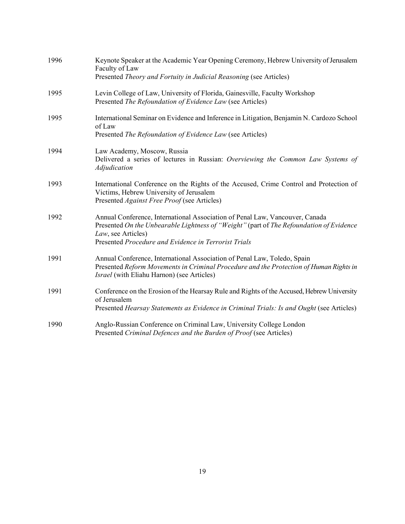| 1996 | Keynote Speaker at the Academic Year Opening Ceremony, Hebrew University of Jerusalem<br>Faculty of Law                                                                                                                                               |  |
|------|-------------------------------------------------------------------------------------------------------------------------------------------------------------------------------------------------------------------------------------------------------|--|
|      | Presented Theory and Fortuity in Judicial Reasoning (see Articles)                                                                                                                                                                                    |  |
| 1995 | Levin College of Law, University of Florida, Gainesville, Faculty Workshop<br>Presented The Refoundation of Evidence Law (see Articles)                                                                                                               |  |
| 1995 | International Seminar on Evidence and Inference in Litigation, Benjamin N. Cardozo School<br>of Law<br>Presented The Refoundation of Evidence Law (see Articles)                                                                                      |  |
| 1994 | Law Academy, Moscow, Russia<br>Delivered a series of lectures in Russian: Overviewing the Common Law Systems of<br>Adjudication                                                                                                                       |  |
| 1993 | International Conference on the Rights of the Accused, Crime Control and Protection of<br>Victims, Hebrew University of Jerusalem<br>Presented Against Free Proof (see Articles)                                                                      |  |
| 1992 | Annual Conference, International Association of Penal Law, Vancouver, Canada<br>Presented On the Unbearable Lightness of "Weight" (part of The Refoundation of Evidence<br>Law, see Articles)<br>Presented Procedure and Evidence in Terrorist Trials |  |
| 1991 | Annual Conference, International Association of Penal Law, Toledo, Spain<br>Presented Reform Movements in Criminal Procedure and the Protection of Human Rights in<br><i>Israel</i> (with Eliahu Harnon) (see Articles)                               |  |
| 1991 | Conference on the Erosion of the Hearsay Rule and Rights of the Accused, Hebrew University<br>of Jerusalem                                                                                                                                            |  |
|      | Presented Hearsay Statements as Evidence in Criminal Trials: Is and Ought (see Articles)                                                                                                                                                              |  |
| 1990 | Anglo-Russian Conference on Criminal Law, University College London<br>Presented Criminal Defences and the Burden of Proof (see Articles)                                                                                                             |  |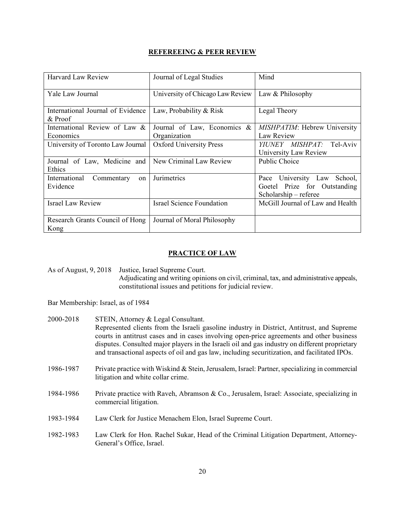# **REFEREEING & PEER REVIEW**

| <b>Harvard Law Review</b>                    | Journal of Legal Studies         | Mind                             |
|----------------------------------------------|----------------------------------|----------------------------------|
| Yale Law Journal                             | University of Chicago Law Review | Law & Philosophy                 |
| International Journal of Evidence<br>& Proof | Law, Probability & Risk          | Legal Theory                     |
| International Review of Law $\&$             | Journal of Law, Economics $\&$   | MISHPATIM: Hebrew University     |
| Economics                                    | Organization                     | Law Review                       |
| University of Toronto Law Journal            | <b>Oxford University Press</b>   | YIUNEY MISHPAT:<br>Tel-Aviv      |
|                                              |                                  | University Law Review            |
| Journal of Law, Medicine and                 | New Criminal Law Review          | Public Choice                    |
| Ethics                                       |                                  |                                  |
| International<br>Commentary<br>on            | Jurimetrics                      | University Law School,<br>Pace   |
| Evidence                                     |                                  | Goetel Prize for Outstanding     |
|                                              |                                  | Scholarship – referee            |
| <b>Israel Law Review</b>                     | <b>Israel Science Foundation</b> | McGill Journal of Law and Health |
|                                              |                                  |                                  |
| Research Grants Council of Hong              | Journal of Moral Philosophy      |                                  |
| Kong                                         |                                  |                                  |

# **PRACTICE OF LAW**

As of August, 9, 2018 Justice, Israel Supreme Court. Adjudicating and writing opinions on civil, criminal, tax, and administrative appeals, constitutional issues and petitions for judicial review.

Bar Membership: Israel, as of 1984

| 2000-2018 | STEIN, Attorney & Legal Consultant.                                                                                                                                                             |  |
|-----------|-------------------------------------------------------------------------------------------------------------------------------------------------------------------------------------------------|--|
|           | Represented clients from the Israeli gasoline industry in District, Antitrust, and Supreme                                                                                                      |  |
|           | courts in antitrust cases and in cases involving open-price agreements and other business                                                                                                       |  |
|           | disputes. Consulted major players in the Israeli oil and gas industry on different proprietary<br>and transactional aspects of oil and gas law, including securitization, and facilitated IPOs. |  |
|           |                                                                                                                                                                                                 |  |
| 1986-1987 | Private practice with Wiskind & Stein, Jerusalem, Israel: Partner, specializing in commercial<br>litigation and white collar crime.                                                             |  |
| 1984-1986 | Private practice with Raveh, Abramson & Co., Jerusalem, Israel: Associate, specializing in                                                                                                      |  |
|           | commercial litigation.                                                                                                                                                                          |  |
| 1983-1984 | Law Clerk for Justice Menachem Elon, Israel Supreme Court.                                                                                                                                      |  |
|           |                                                                                                                                                                                                 |  |
| 1982-1983 | Law Clerk for Hon. Rachel Sukar, Head of the Criminal Litigation Department, Attorney-<br>General's Office, Israel.                                                                             |  |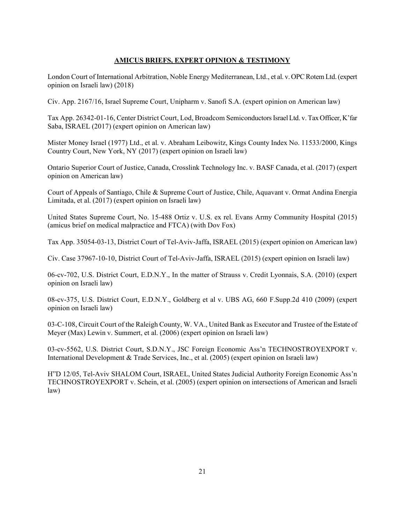## **AMICUS BRIEFS, EXPERT OPINION & TESTIMONY**

London Court of International Arbitration, Noble Energy Mediterranean, Ltd., et al. v. OPC Rotem Ltd.(expert opinion on Israeli law) (2018)

Civ. App. 2167/16, Israel Supreme Court, Unipharm v. Sanofi S.A. (expert opinion on American law)

Tax App. 26342-01-16, Center District Court, Lod, Broadcom Semiconductors Israel Ltd. v. Tax Officer, K'far Saba, ISRAEL (2017) (expert opinion on American law)

Mister Money Israel (1977) Ltd., et al. v. Abraham Leibowitz, Kings County Index No. 11533/2000, Kings Country Court, New York, NY (2017) (expert opinion on Israeli law)

Ontario Superior Court of Justice, Canada, Crosslink Technology Inc. v. BASF Canada, et al. (2017) (expert opinion on American law)

Court of Appeals of Santiago, Chile & Supreme Court of Justice, Chile, Aquavant v. Ormat Andina Energia Limitada, et al. (2017) (expert opinion on Israeli law)

United States Supreme Court, No. 15-488 Ortiz v. U.S. ex rel. Evans Army Community Hospital (2015) (amicus brief on medical malpractice and FTCA) (with Dov Fox)

Tax App. 35054-03-13, District Court of Tel-Aviv-Jaffa, ISRAEL (2015) (expert opinion on American law)

Civ. Case 37967-10-10, District Court of Tel-Aviv-Jaffa, ISRAEL (2015) (expert opinion on Israeli law)

06-cv-702, U.S. District Court, E.D.N.Y., In the matter of Strauss v. Credit Lyonnais, S.A. (2010) (expert opinion on Israeli law)

08-cv-375, U.S. District Court, E.D.N.Y., Goldberg et al v. UBS AG, 660 F.Supp.2d 410 (2009) (expert opinion on Israeli law)

03-C-108, Circuit Court of the Raleigh County, W. VA., United Bank as Executor and Trustee of the Estate of Meyer (Max) Lewin v. Summert, et al. (2006) (expert opinion on Israeli law)

03-cv-5562, U.S. District Court, S.D.N.Y., JSC Foreign Economic Ass'n TECHNOSTROYEXPORT v. International Development & Trade Services, Inc., et al. (2005) (expert opinion on Israeli law)

H"D 12/05, Tel-Aviv SHALOM Court, ISRAEL, United States Judicial Authority Foreign Economic Ass'n TECHNOSTROYEXPORT v. Schein, et al. (2005) (expert opinion on intersections of American and Israeli law)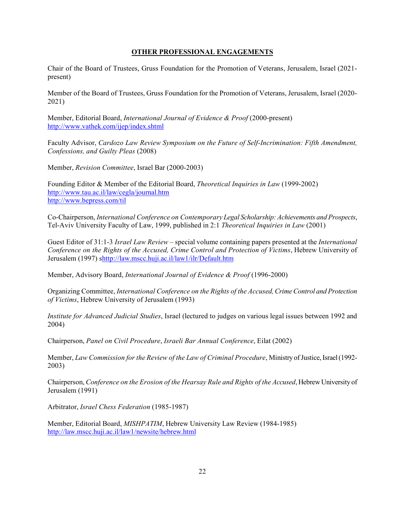#### **OTHER PROFESSIONAL ENGAGEMENTS**

Chair of the Board of Trustees, Gruss Foundation for the Promotion of Veterans, Jerusalem, Israel (2021 present)

Member of the Board of Trustees, Gruss Foundation for the Promotion of Veterans, Jerusalem, Israel (2020- 2021)

Member, Editorial Board, *International Journal of Evidence & Proof* (2000-present) http://www.vathek.com/ijep/index.shtml

Faculty Advisor, *Cardozo Law Review Symposium on the Future of Self-Incrimination: Fifth Amendment, Confessions, and Guilty Pleas* (2008)

Member, *Revision Committee*, Israel Bar (2000-2003)

Founding Editor & Member of the Editorial Board, *Theoretical Inquiries in Law* (1999-2002) http://www.tau.ac.il/law/cegla/journal.htm http://www.bepress.com/til

Co-Chairperson, *International Conference on Contemporary Legal Scholarship: Achievements and Prospects*, Tel-Aviv University Faculty of Law, 1999, published in 2:1 *Theoretical Inquiries in Law* (2001)

Guest Editor of 31:1-3 *Israel Law Review* – special volume containing papers presented at the *International Conference on the Rights of the Accused, Crime Control and Protection of Victims*, Hebrew University of Jerusalem (1997) shttp://law.mscc.huji.ac.il/law1/ilr/Default.htm

Member, Advisory Board, *International Journal of Evidence & Proof* (1996-2000)

Organizing Committee, *International Conference on the Rights of the Accused, Crime Control and Protection of Victims*, Hebrew University of Jerusalem (1993)

*Institute for Advanced Judicial Studies*, Israel (lectured to judges on various legal issues between 1992 and 2004)

Chairperson, *Panel on Civil Procedure*, *Israeli Bar Annual Conference*, Eilat (2002)

Member, *Law Commission for the Review of the Law of Criminal Procedure*, Ministry of Justice, Israel (1992- 2003)

Chairperson, *Conference on the Erosion of the Hearsay Rule and Rights of the Accused*, Hebrew University of Jerusalem (1991)

Arbitrator, *Israel Chess Federation* (1985-1987)

Member, Editorial Board, *MISHPATIM*, Hebrew University Law Review (1984-1985) http://law.mscc.huji.ac.il/law1/newsite/hebrew.html